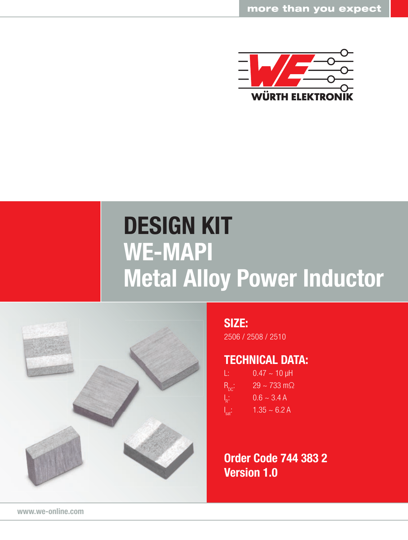

## DESIGN KIT WE-MAPI Metal Alloy Power Inductor



## SIZE:

2506 / 2508 / 2510

## TECHNICAL DATA:

| L.                         | $0.47 \sim 10 \,\text{µH}$    |
|----------------------------|-------------------------------|
| $R_{nc}$ :                 | $29 \sim 733 \text{ m}\Omega$ |
| $\vert_{\mathbf{R}^{(1)}}$ | $0.6 - 3.4 A$                 |
| $\int_{\text{sat}}$        | $1.35 - 6.2$ A                |

Order Code 744 383 2 Version 1.0

www.we-online.com